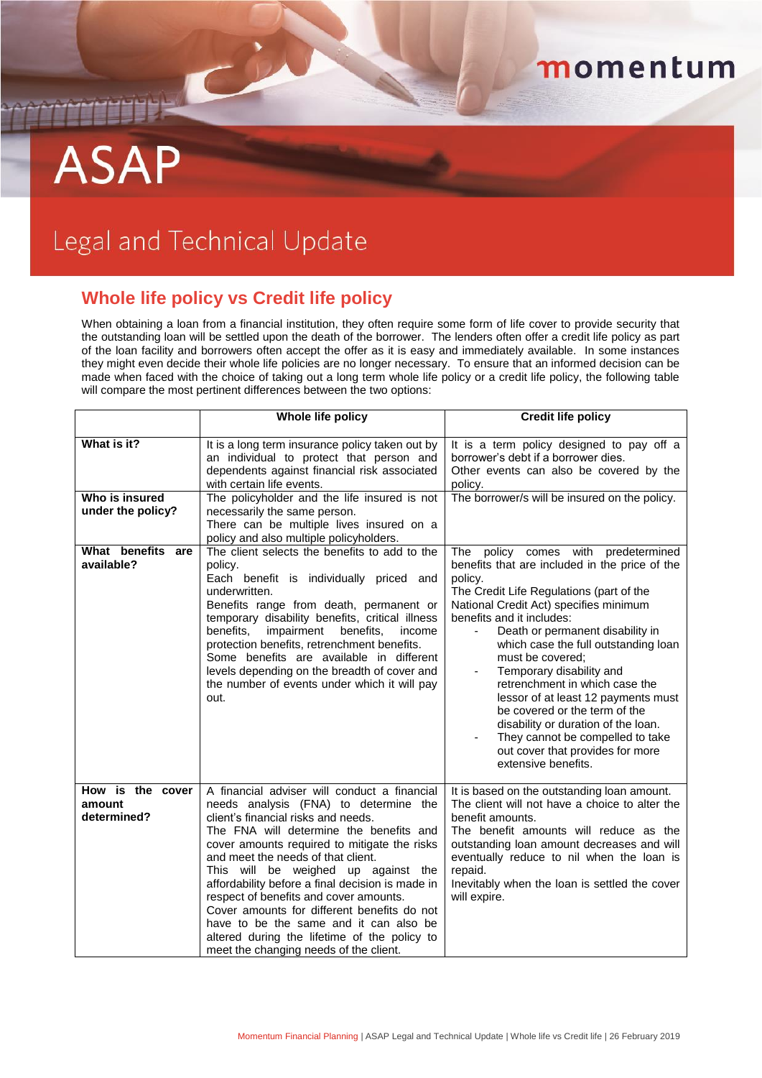## momentum

## **ASAP**

## Legal and Technical Update

C

## **Whole life policy vs Credit life policy**

When obtaining a loan from a financial institution, they often require some form of life cover to provide security that the outstanding loan will be settled upon the death of the borrower. The lenders often offer a credit life policy as part of the loan facility and borrowers often accept the offer as it is easy and immediately available. In some instances they might even decide their whole life policies are no longer necessary. To ensure that an informed decision can be made when faced with the choice of taking out a long term whole life policy or a credit life policy, the following table will compare the most pertinent differences between the two options:

|                                                    | Whole life policy                                                                                                                                                                                                                                                                                                                                                                                                                                                                                                                                                                     | <b>Credit life policy</b>                                                                                                                                                                                                                                                                                                                                                                                                                                                                                                                                                                               |
|----------------------------------------------------|---------------------------------------------------------------------------------------------------------------------------------------------------------------------------------------------------------------------------------------------------------------------------------------------------------------------------------------------------------------------------------------------------------------------------------------------------------------------------------------------------------------------------------------------------------------------------------------|---------------------------------------------------------------------------------------------------------------------------------------------------------------------------------------------------------------------------------------------------------------------------------------------------------------------------------------------------------------------------------------------------------------------------------------------------------------------------------------------------------------------------------------------------------------------------------------------------------|
| What is it?<br>Who is insured<br>under the policy? | It is a long term insurance policy taken out by<br>an individual to protect that person and<br>dependents against financial risk associated<br>with certain life events.<br>The policyholder and the life insured is not<br>necessarily the same person.<br>There can be multiple lives insured on a<br>policy and also multiple policyholders.                                                                                                                                                                                                                                       | It is a term policy designed to pay off a<br>borrower's debt if a borrower dies.<br>Other events can also be covered by the<br>policy.<br>The borrower/s will be insured on the policy.                                                                                                                                                                                                                                                                                                                                                                                                                 |
| What benefits are<br>available?                    | The client selects the benefits to add to the<br>policy.<br>Each benefit is individually priced and<br>underwritten.<br>Benefits range from death, permanent or<br>temporary disability benefits, critical illness<br>impairment<br>benefits.<br>benefits.<br>income<br>protection benefits, retrenchment benefits.<br>Some benefits are available in different<br>levels depending on the breadth of cover and<br>the number of events under which it will pay<br>out.                                                                                                               | policy comes with predetermined<br>The<br>benefits that are included in the price of the<br>policy.<br>The Credit Life Regulations (part of the<br>National Credit Act) specifies minimum<br>benefits and it includes:<br>Death or permanent disability in<br>which case the full outstanding loan<br>must be covered:<br>Temporary disability and<br>-<br>retrenchment in which case the<br>lessor of at least 12 payments must<br>be covered or the term of the<br>disability or duration of the loan.<br>They cannot be compelled to take<br>out cover that provides for more<br>extensive benefits. |
| How is the cover<br>amount<br>determined?          | A financial adviser will conduct a financial<br>needs analysis (FNA) to determine the<br>client's financial risks and needs.<br>The FNA will determine the benefits and<br>cover amounts required to mitigate the risks<br>and meet the needs of that client.<br>This will be weighed up against the<br>affordability before a final decision is made in<br>respect of benefits and cover amounts.<br>Cover amounts for different benefits do not<br>have to be the same and it can also be<br>altered during the lifetime of the policy to<br>meet the changing needs of the client. | It is based on the outstanding loan amount.<br>The client will not have a choice to alter the<br>benefit amounts.<br>The benefit amounts will reduce as the<br>outstanding loan amount decreases and will<br>eventually reduce to nil when the loan is<br>repaid.<br>Inevitably when the loan is settled the cover<br>will expire.                                                                                                                                                                                                                                                                      |